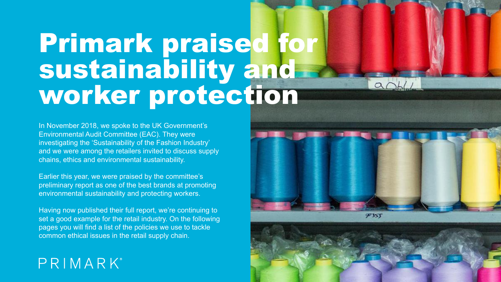# Primark praised for sustainability and worker protection

In November 2018, we spoke to the UK Government's Environmental Audit Committee (EAC). They were investigating the 'Sustainability of the Fashion Industry' and we were among the retailers invited to discuss supply chains, ethics and environmental sustainability.

Earlier this year, we were praised by the committee's preliminary report as one of the best brands at promoting environmental sustainability and protecting workers.

Having now published their full report, we're continuing to set a good example for the retail industry. On the following pages you will find a list of the policies we use to tackle common ethical issues in the retail supply chain.

## PRIMARK®



 $\alpha$ 



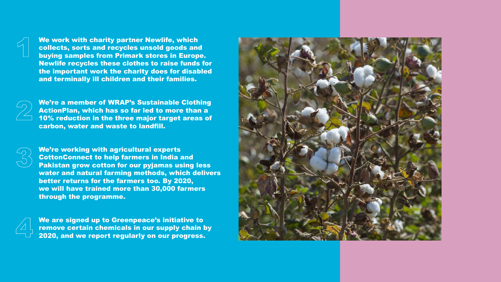We work with charity partner Newlife, which collects, sorts and recycles unsold goods and buying samples from Primark stores in Europe. Newlife recycles these clothes to raise funds for the important work the charity does for disabled and terminally ill children and their families.

We're a member of WRAP's Sustainable Clothing ActionPlan, which has so far led to more than a 10% reduction in the three major target areas of carbon, water and waste to landfill.

We're working with agricultural experts CottonConnect to help farmers in India and Pakistan grow cotton for our pyjamas using less water and natural farming methods, which delivers better returns for the farmers too. By 2020, we will have trained more than 30,000 farmers through the programme.

We are signed up to Greenpeace's initiative to remove certain chemicals in our supply chain by 2020, and we report regularly on our progress.